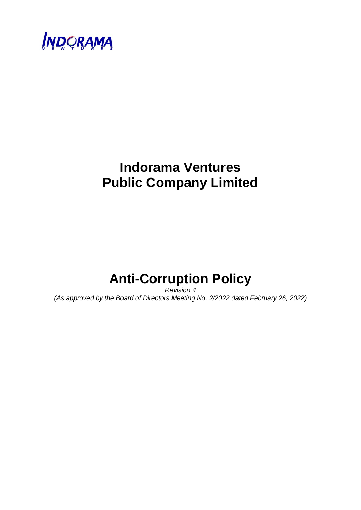

## **Indorama Ventures Public Company Limited**

# **Anti-Corruption Policy**

*Revision 4 (As approved by the Board of Directors Meeting No. 2/2022 dated February 26, 2022)*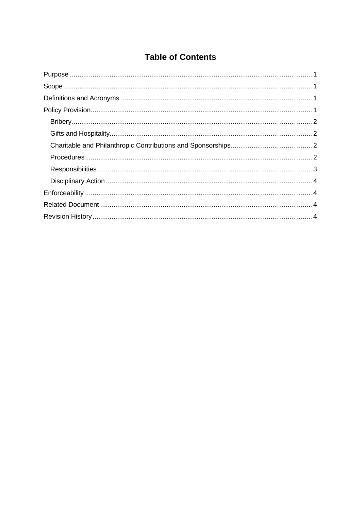## **Table of Contents**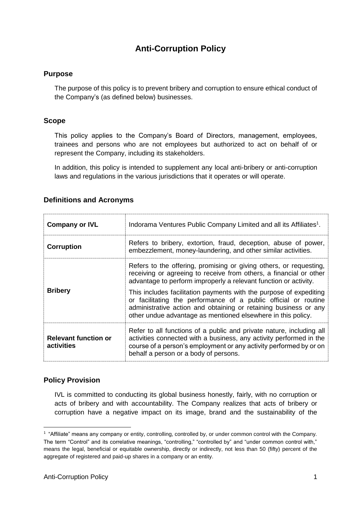### **Anti-Corruption Policy**

#### <span id="page-2-0"></span>**Purpose**

The purpose of this policy is to prevent bribery and corruption to ensure ethical conduct of the Company's (as defined below) businesses.

#### <span id="page-2-1"></span>**Scope**

This policy applies to the Company's Board of Directors, management, employees, trainees and persons who are not employees but authorized to act on behalf of or represent the Company, including its stakeholders.

In addition, this policy is intended to supplement any local anti-bribery or anti-corruption laws and regulations in the various jurisdictions that it operates or will operate.

#### <span id="page-2-2"></span>**Definitions and Acronyms**

| <b>Company or IVL</b>                                                                                                                                                                                                                                                                                   | Indorama Ventures Public Company Limited and all its Affiliates <sup>1</sup> .                                                                                                                                                                                            |  |  |
|---------------------------------------------------------------------------------------------------------------------------------------------------------------------------------------------------------------------------------------------------------------------------------------------------------|---------------------------------------------------------------------------------------------------------------------------------------------------------------------------------------------------------------------------------------------------------------------------|--|--|
| <b>Corruption</b>                                                                                                                                                                                                                                                                                       | Refers to bribery, extortion, fraud, deception, abuse of power,<br>embezzlement, money-laundering, and other similar activities.                                                                                                                                          |  |  |
|                                                                                                                                                                                                                                                                                                         | Refers to the offering, promising or giving others, or requesting,<br>receiving or agreeing to receive from others, a financial or other<br>advantage to perform improperly a relevant function or activity.                                                              |  |  |
| <b>Bribery</b>                                                                                                                                                                                                                                                                                          | This includes facilitation payments with the purpose of expediting<br>or facilitating the performance of a public official or routine<br>administrative action and obtaining or retaining business or any<br>other undue advantage as mentioned elsewhere in this policy. |  |  |
| Refer to all functions of a public and private nature, including all<br><b>Relevant function or</b><br>activities connected with a business, any activity performed in the<br>course of a person's employment or any activity performed by or on<br>activities<br>behalf a person or a body of persons. |                                                                                                                                                                                                                                                                           |  |  |

#### <span id="page-2-3"></span>**Policy Provision**

-

IVL is committed to conducting its global business honestly, fairly, with no corruption or acts of bribery and with accountability. The Company realizes that acts of bribery or corruption have a negative impact on its image, brand and the sustainability of the

<sup>&</sup>lt;sup>1</sup> "Affiliate" means any company or entity, controlling, controlled by, or under common control with the Company. The term "Control" and its correlative meanings, "controlling," "controlled by" and "under common control with," means the legal, beneficial or equitable ownership, directly or indirectly, not less than 50 (fifty) percent of the aggregate of registered and paid-up shares in a company or an entity.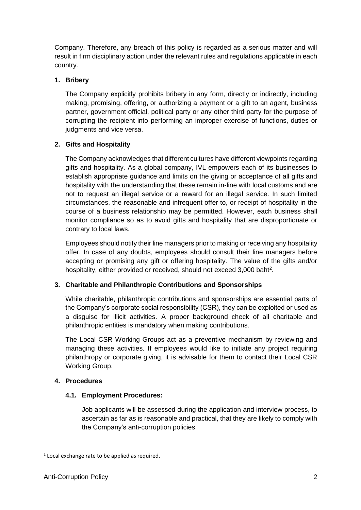Company. Therefore, any breach of this policy is regarded as a serious matter and will result in firm disciplinary action under the relevant rules and regulations applicable in each country.

#### <span id="page-3-0"></span>**1. Bribery**

The Company explicitly prohibits bribery in any form, directly or indirectly, including making, promising, offering, or authorizing a payment or a gift to an agent, business partner, government official, political party or any other third party for the purpose of corrupting the recipient into performing an improper exercise of functions, duties or judgments and vice versa.

#### <span id="page-3-1"></span>**2. Gifts and Hospitality**

The Company acknowledges that different cultures have different viewpoints regarding gifts and hospitality. As a global company, IVL empowers each of its businesses to establish appropriate guidance and limits on the giving or acceptance of all gifts and hospitality with the understanding that these remain in-line with local customs and are not to request an illegal service or a reward for an illegal service. In such limited circumstances, the reasonable and infrequent offer to, or receipt of hospitality in the course of a business relationship may be permitted. However, each business shall monitor compliance so as to avoid gifts and hospitality that are disproportionate or contrary to local laws.

Employees should notify their line managers prior to making or receiving any hospitality offer. In case of any doubts, employees should consult their line managers before accepting or promising any gift or offering hospitality. The value of the gifts and/or hospitality, either provided or received, should not exceed 3,000 baht<sup>2</sup>.

#### <span id="page-3-2"></span>**3. Charitable and Philanthropic Contributions and Sponsorships**

While charitable, philanthropic contributions and sponsorships are essential parts of the Company's corporate social responsibility (CSR), they can be exploited or used as a disguise for illicit activities. A proper background check of all charitable and philanthropic entities is mandatory when making contributions.

The Local CSR Working Groups act as a preventive mechanism by reviewing and managing these activities. If employees would like to initiate any project requiring philanthropy or corporate giving, it is advisable for them to contact their Local CSR Working Group.

#### <span id="page-3-3"></span>**4. Procedures**

#### **4.1. Employment Procedures:**

Job applicants will be assessed during the application and interview process, to ascertain as far as is reasonable and practical, that they are likely to comply with the Company's anti-corruption policies.

-

<sup>&</sup>lt;sup>2</sup> Local exchange rate to be applied as required.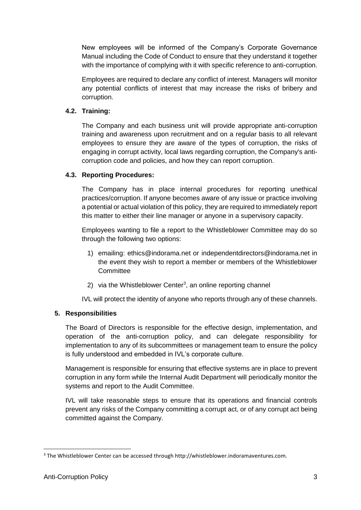New employees will be informed of the Company's Corporate Governance Manual including the Code of Conduct to ensure that they understand it together with the importance of complying with it with specific reference to anti-corruption.

Employees are required to declare any conflict of interest. Managers will monitor any potential conflicts of interest that may increase the risks of bribery and corruption.

#### **4.2. Training:**

The Company and each business unit will provide appropriate anti-corruption training and awareness upon recruitment and on a regular basis to all relevant employees to ensure they are aware of the types of corruption, the risks of engaging in corrupt activity, local laws regarding corruption, the Company's anticorruption code and policies, and how they can report corruption.

#### **4.3. Reporting Procedures:**

The Company has in place internal procedures for reporting unethical practices/corruption. If anyone becomes aware of any issue or practice involving a potential or actual violation of this policy, they are required to immediately report this matter to either their line manager or anyone in a supervisory capacity.

Employees wanting to file a report to the Whistleblower Committee may do so through the following two options:

- 1) emailing: ethics@indorama.net or independentdirectors@indorama.net in the event they wish to report a member or members of the Whistleblower **Committee**
- 2) via the Whistleblower Center<sup>3</sup>, an online reporting channel

IVL will protect the identity of anyone who reports through any of these channels.

#### <span id="page-4-0"></span>**5. Responsibilities**

The Board of Directors is responsible for the effective design, implementation, and operation of the anti-corruption policy, and can delegate responsibility for implementation to any of its subcommittees or management team to ensure the policy is fully understood and embedded in IVL's corporate culture.

Management is responsible for ensuring that effective systems are in place to prevent corruption in any form while the Internal Audit Department will periodically monitor the systems and report to the Audit Committee.

IVL will take reasonable steps to ensure that its operations and financial controls prevent any risks of the Company committing a corrupt act, or of any corrupt act being committed against the Company.

-

 $3$  The Whistleblower Center can be accessed through http://whistleblower.indoramaventures.com.